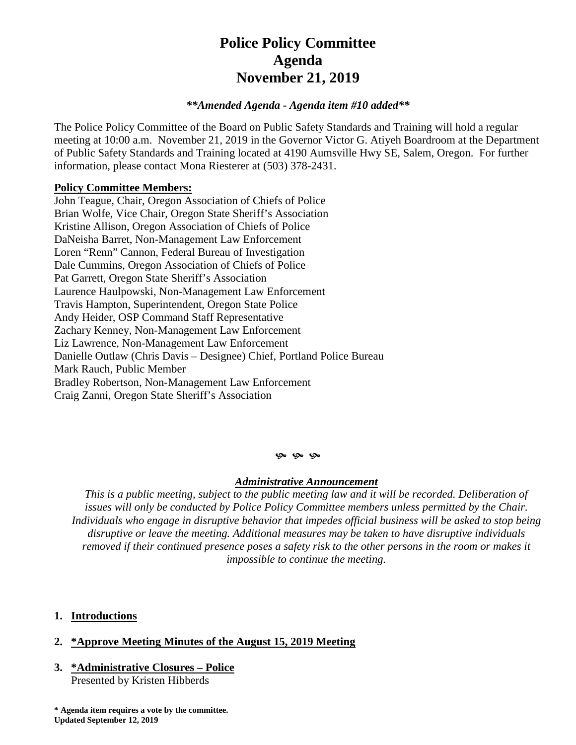# **Police Policy Committee Agenda November 21, 2019**

#### *\*\*Amended Agenda - Agenda item #10 added\*\**

The Police Policy Committee of the Board on Public Safety Standards and Training will hold a regular meeting at 10:00 a.m. November 21, 2019 in the Governor Victor G. Atiyeh Boardroom at the Department of Public Safety Standards and Training located at 4190 Aumsville Hwy SE, Salem, Oregon. For further information, please contact Mona Riesterer at (503) 378-2431.

#### **Policy Committee Members:**

John Teague, Chair, Oregon Association of Chiefs of Police Brian Wolfe, Vice Chair, Oregon State Sheriff's Association Kristine Allison, Oregon Association of Chiefs of Police DaNeisha Barret, Non-Management Law Enforcement Loren "Renn" Cannon, Federal Bureau of Investigation Dale Cummins, Oregon Association of Chiefs of Police Pat Garrett, Oregon State Sheriff's Association Laurence Haulpowski, Non-Management Law Enforcement Travis Hampton, Superintendent, Oregon State Police Andy Heider, OSP Command Staff Representative Zachary Kenney, Non-Management Law Enforcement Liz Lawrence, Non-Management Law Enforcement Danielle Outlaw (Chris Davis – Designee) Chief, Portland Police Bureau Mark Rauch, Public Member Bradley Robertson, Non-Management Law Enforcement Craig Zanni, Oregon State Sheriff's Association

#### **G** G G

#### *Administrative Announcement*

*This is a public meeting, subject to the public meeting law and it will be recorded. Deliberation of issues will only be conducted by Police Policy Committee members unless permitted by the Chair. Individuals who engage in disruptive behavior that impedes official business will be asked to stop being disruptive or leave the meeting. Additional measures may be taken to have disruptive individuals removed if their continued presence poses a safety risk to the other persons in the room or makes it impossible to continue the meeting.*

#### **1. Introductions**

### **2. \*Approve Meeting Minutes of the August 15, 2019 Meeting**

## **3. \*Administrative Closures – Police**

Presented by Kristen Hibberds